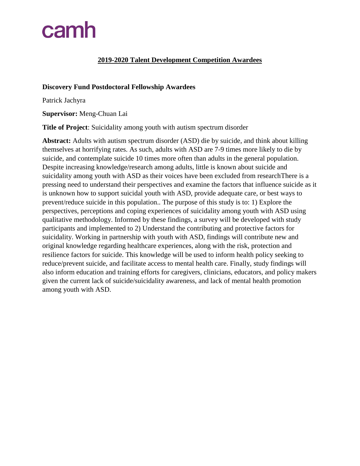#### **2019-2020 Talent Development Competition Awardees**

#### **Discovery Fund Postdoctoral Fellowship Awardees**

Patrick Jachyra

**Supervisor:** Meng-Chuan Lai

**Title of Project**: Suicidality among youth with autism spectrum disorder

**Abstract:** Adults with autism spectrum disorder (ASD) die by suicide, and think about killing themselves at horrifying rates. As such, adults with ASD are 7-9 times more likely to die by suicide, and contemplate suicide 10 times more often than adults in the general population. Despite increasing knowledge/research among adults, little is known about suicide and suicidality among youth with ASD as their voices have been excluded from researchThere is a pressing need to understand their perspectives and examine the factors that influence suicide as it is unknown how to support suicidal youth with ASD, provide adequate care, or best ways to prevent/reduce suicide in this population.. The purpose of this study is to: 1) Explore the perspectives, perceptions and coping experiences of suicidality among youth with ASD using qualitative methodology. Informed by these findings, a survey will be developed with study participants and implemented to 2) Understand the contributing and protective factors for suicidality. Working in partnership with youth with ASD, findings will contribute new and original knowledge regarding healthcare experiences, along with the risk, protection and resilience factors for suicide. This knowledge will be used to inform health policy seeking to reduce/prevent suicide, and facilitate access to mental health care. Finally, study findings will also inform education and training efforts for caregivers, clinicians, educators, and policy makers given the current lack of suicide/suicidality awareness, and lack of mental health promotion among youth with ASD.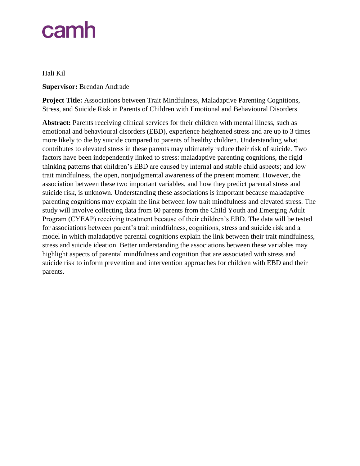Hali Kil

**Supervisor:** Brendan Andrade

**Project Title:** Associations between Trait Mindfulness, Maladaptive Parenting Cognitions, Stress, and Suicide Risk in Parents of Children with Emotional and Behavioural Disorders

**Abstract:** Parents receiving clinical services for their children with mental illness, such as emotional and behavioural disorders (EBD), experience heightened stress and are up to 3 times more likely to die by suicide compared to parents of healthy children. Understanding what contributes to elevated stress in these parents may ultimately reduce their risk of suicide. Two factors have been independently linked to stress: maladaptive parenting cognitions, the rigid thinking patterns that children's EBD are caused by internal and stable child aspects; and low trait mindfulness, the open, nonjudgmental awareness of the present moment. However, the association between these two important variables, and how they predict parental stress and suicide risk, is unknown. Understanding these associations is important because maladaptive parenting cognitions may explain the link between low trait mindfulness and elevated stress. The study will involve collecting data from 60 parents from the Child Youth and Emerging Adult Program (CYEAP) receiving treatment because of their children's EBD. The data will be tested for associations between parent's trait mindfulness, cognitions, stress and suicide risk and a model in which maladaptive parental cognitions explain the link between their trait mindfulness, stress and suicide ideation. Better understanding the associations between these variables may highlight aspects of parental mindfulness and cognition that are associated with stress and suicide risk to inform prevention and intervention approaches for children with EBD and their parents.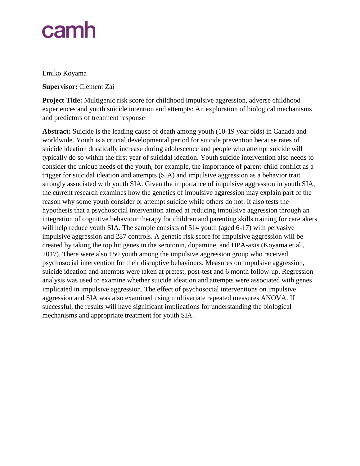#### Emiko Koyama

#### **Supervisor:** Clement Zai

**Project Title:** Multigenic risk score for childhood impulsive aggression, adverse childhood experiences and youth suicide intention and attempts: An exploration of biological mechanisms and predictors of treatment response

**Abstract:** Suicide is the leading cause of death among youth (10-19 year olds) in Canada and worldwide. Youth is a crucial developmental period for suicide prevention because rates of suicide ideation drastically increase during adolescence and people who attempt suicide will typically do so within the first year of suicidal ideation. Youth suicide intervention also needs to consider the unique needs of the youth, for example, the importance of parent-child conflict as a trigger for suicidal ideation and attempts (SIA) and impulsive aggression as a behavior trait strongly associated with youth SIA. Given the importance of impulsive aggression in youth SIA, the current research examines how the genetics of impulsive aggression may explain part of the reason why some youth consider or attempt suicide while others do not. It also tests the hypothesis that a psychosocial intervention aimed at reducing impulsive aggression through an integration of cognitive behaviour therapy for children and parenting skills training for caretakers will help reduce youth SIA. The sample consists of 514 youth (aged 6-17) with pervasive impulsive aggression and 287 controls. A genetic risk score for impulsive aggression will be created by taking the top hit genes in the serotonin, dopamine, and HPA-axis (Koyama et al., 2017). There were also 150 youth among the impulsive aggression group who received psychosocial intervention for their disruptive behaviours. Measures on impulsive aggression, suicide ideation and attempts were taken at pretest, post-test and 6 month follow-up. Regression analysis was used to examine whether suicide ideation and attempts were associated with genes implicated in impulsive aggression. The effect of psychosocial interventions on impulsive aggression and SIA was also examined using multivariate repeated measures ANOVA. If successful, the results will have significant implications for understanding the biological mechanisms and appropriate treatment for youth SIA.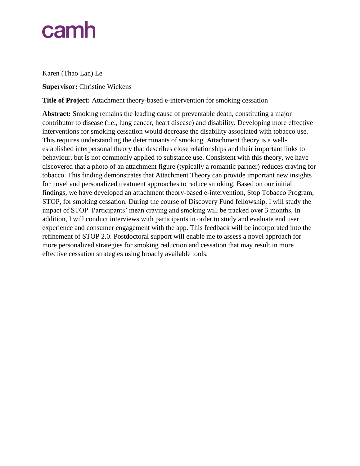Karen (Thao Lan) Le

**Supervisor:** Christine Wickens

**Title of Project:** Attachment theory-based e-intervention for smoking cessation

**Abstract:** Smoking remains the leading cause of preventable death, constituting a major contributor to disease (i.e., lung cancer, heart disease) and disability. Developing more effective interventions for smoking cessation would decrease the disability associated with tobacco use. This requires understanding the determinants of smoking. Attachment theory is a wellestablished interpersonal theory that describes close relationships and their important links to behaviour, but is not commonly applied to substance use. Consistent with this theory, we have discovered that a photo of an attachment figure (typically a romantic partner) reduces craving for tobacco. This finding demonstrates that Attachment Theory can provide important new insights for novel and personalized treatment approaches to reduce smoking. Based on our initial findings, we have developed an attachment theory-based e-intervention, Stop Tobacco Program, STOP, for smoking cessation. During the course of Discovery Fund fellowship, I will study the impact of STOP. Participants' mean craving and smoking will be tracked over 3 months. In addition, I will conduct interviews with participants in order to study and evaluate end user experience and consumer engagement with the app. This feedback will be incorporated into the refinement of STOP 2.0. Postdoctoral support will enable me to assess a novel approach for more personalized strategies for smoking reduction and cessation that may result in more effective cessation strategies using broadly available tools.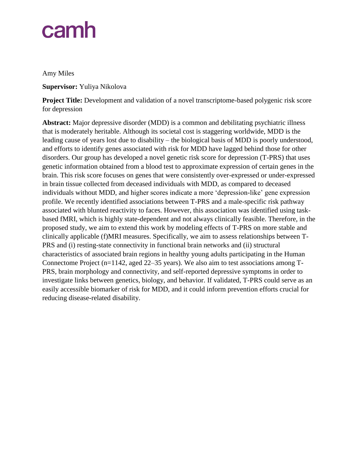Amy Miles

**Supervisor:** Yuliya Nikolova

**Project Title:** Development and validation of a novel transcriptome-based polygenic risk score for depression

**Abstract:** Major depressive disorder (MDD) is a common and debilitating psychiatric illness that is moderately heritable. Although its societal cost is staggering worldwide, MDD is the leading cause of years lost due to disability – the biological basis of MDD is poorly understood, and efforts to identify genes associated with risk for MDD have lagged behind those for other disorders. Our group has developed a novel genetic risk score for depression (T-PRS) that uses genetic information obtained from a blood test to approximate expression of certain genes in the brain. This risk score focuses on genes that were consistently over-expressed or under-expressed in brain tissue collected from deceased individuals with MDD, as compared to deceased individuals without MDD, and higher scores indicate a more 'depression-like' gene expression profile. We recently identified associations between T-PRS and a male-specific risk pathway associated with blunted reactivity to faces. However, this association was identified using taskbased fMRI, which is highly state-dependent and not always clinically feasible. Therefore, in the proposed study, we aim to extend this work by modeling effects of T-PRS on more stable and clinically applicable (f)MRI measures. Specifically, we aim to assess relationships between T-PRS and (i) resting-state connectivity in functional brain networks and (ii) structural characteristics of associated brain regions in healthy young adults participating in the Human Connectome Project (n=1142, aged 22–35 years). We also aim to test associations among T-PRS, brain morphology and connectivity, and self-reported depressive symptoms in order to investigate links between genetics, biology, and behavior. If validated, T-PRS could serve as an easily accessible biomarker of risk for MDD, and it could inform prevention efforts crucial for reducing disease-related disability.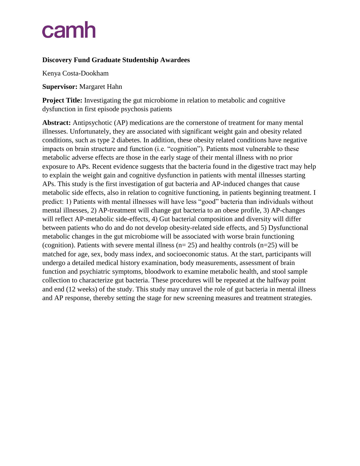#### **Discovery Fund Graduate Studentship Awardees**

Kenya Costa-Dookham

**Supervisor:** Margaret Hahn

**Project Title:** Investigating the gut microbiome in relation to metabolic and cognitive dysfunction in first episode psychosis patients

**Abstract:** Antipsychotic (AP) medications are the cornerstone of treatment for many mental illnesses. Unfortunately, they are associated with significant weight gain and obesity related conditions, such as type 2 diabetes. In addition, these obesity related conditions have negative impacts on brain structure and function (i.e. "cognition"). Patients most vulnerable to these metabolic adverse effects are those in the early stage of their mental illness with no prior exposure to APs. Recent evidence suggests that the bacteria found in the digestive tract may help to explain the weight gain and cognitive dysfunction in patients with mental illnesses starting APs. This study is the first investigation of gut bacteria and AP-induced changes that cause metabolic side effects, also in relation to cognitive functioning, in patients beginning treatment. I predict: 1) Patients with mental illnesses will have less "good" bacteria than individuals without mental illnesses, 2) AP-treatment will change gut bacteria to an obese profile, 3) AP-changes will reflect AP-metabolic side-effects, 4) Gut bacterial composition and diversity will differ between patients who do and do not develop obesity-related side effects, and 5) Dysfunctional metabolic changes in the gut microbiome will be associated with worse brain functioning (cognition). Patients with severe mental illness ( $n=25$ ) and healthy controls ( $n=25$ ) will be matched for age, sex, body mass index, and socioeconomic status. At the start, participants will undergo a detailed medical history examination, body measurements, assessment of brain function and psychiatric symptoms, bloodwork to examine metabolic health, and stool sample collection to characterize gut bacteria. These procedures will be repeated at the halfway point and end (12 weeks) of the study. This study may unravel the role of gut bacteria in mental illness and AP response, thereby setting the stage for new screening measures and treatment strategies.